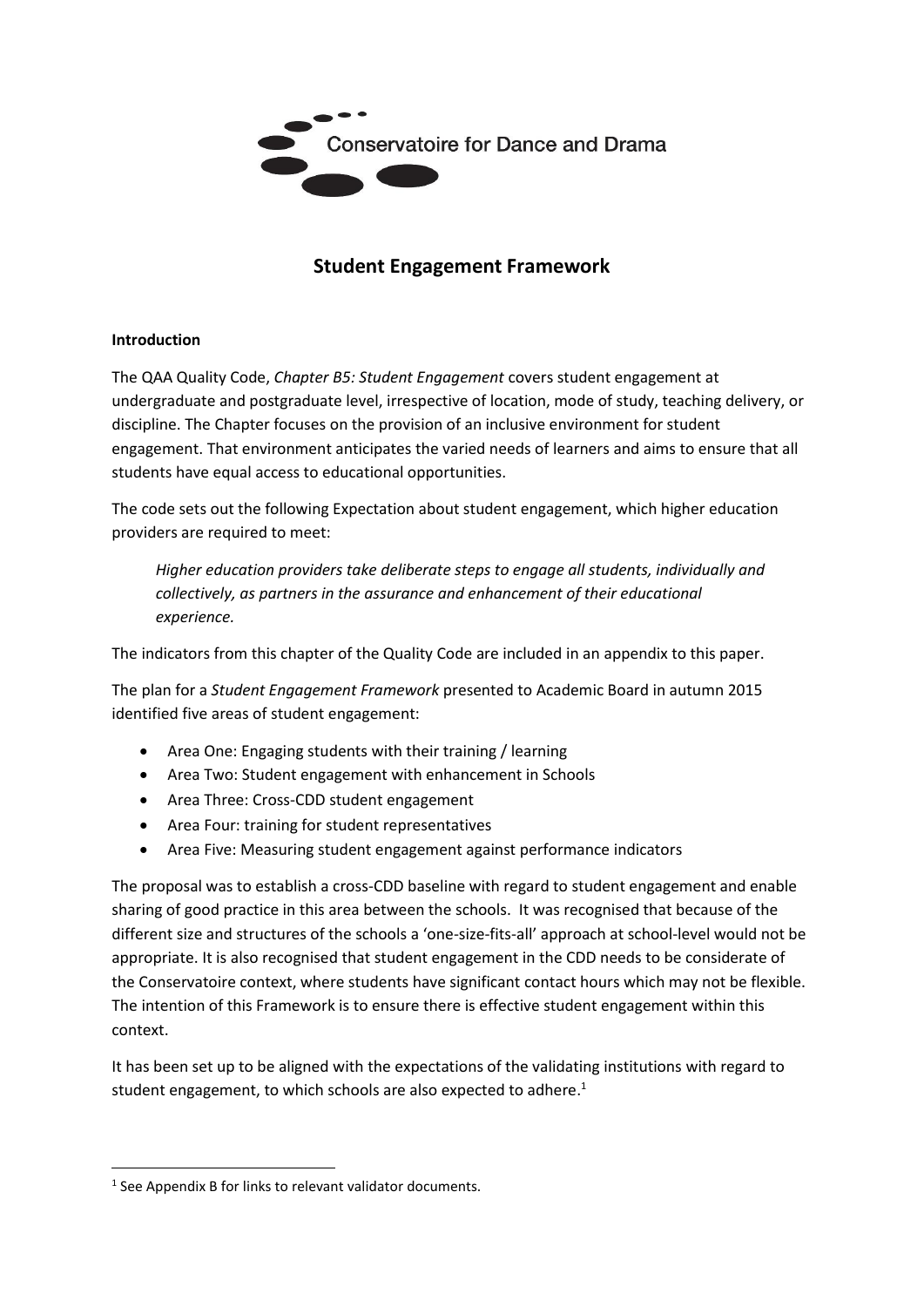

# **Student Engagement Framework**

#### **Introduction**

The QAA Quality Code, *Chapter B5: Student Engagement* covers student engagement at undergraduate and postgraduate level, irrespective of location, mode of study, teaching delivery, or discipline. The Chapter focuses on the provision of an inclusive environment for student engagement. That environment anticipates the varied needs of learners and aims to ensure that all students have equal access to educational opportunities.

The code sets out the following Expectation about student engagement, which higher education providers are required to meet:

*Higher education providers take deliberate steps to engage all students, individually and collectively, as partners in the assurance and enhancement of their educational experience.*

The indicators from this chapter of the Quality Code are included in an appendix to this paper.

The plan for a *Student Engagement Framework* presented to Academic Board in autumn 2015 identified five areas of student engagement:

- Area One: Engaging students with their training / learning
- Area Two: Student engagement with enhancement in Schools
- Area Three: Cross-CDD student engagement
- Area Four: training for student representatives
- Area Five: Measuring student engagement against performance indicators

The proposal was to establish a cross-CDD baseline with regard to student engagement and enable sharing of good practice in this area between the schools. It was recognised that because of the different size and structures of the schools a 'one-size-fits-all' approach at school-level would not be appropriate. It is also recognised that student engagement in the CDD needs to be considerate of the Conservatoire context, where students have significant contact hours which may not be flexible. The intention of this Framework is to ensure there is effective student engagement within this context.

It has been set up to be aligned with the expectations of the validating institutions with regard to student engagement, to which schools are also expected to adhere.<sup>1</sup>

<sup>&</sup>lt;sup>1</sup> See Appendix B for links to relevant validator documents.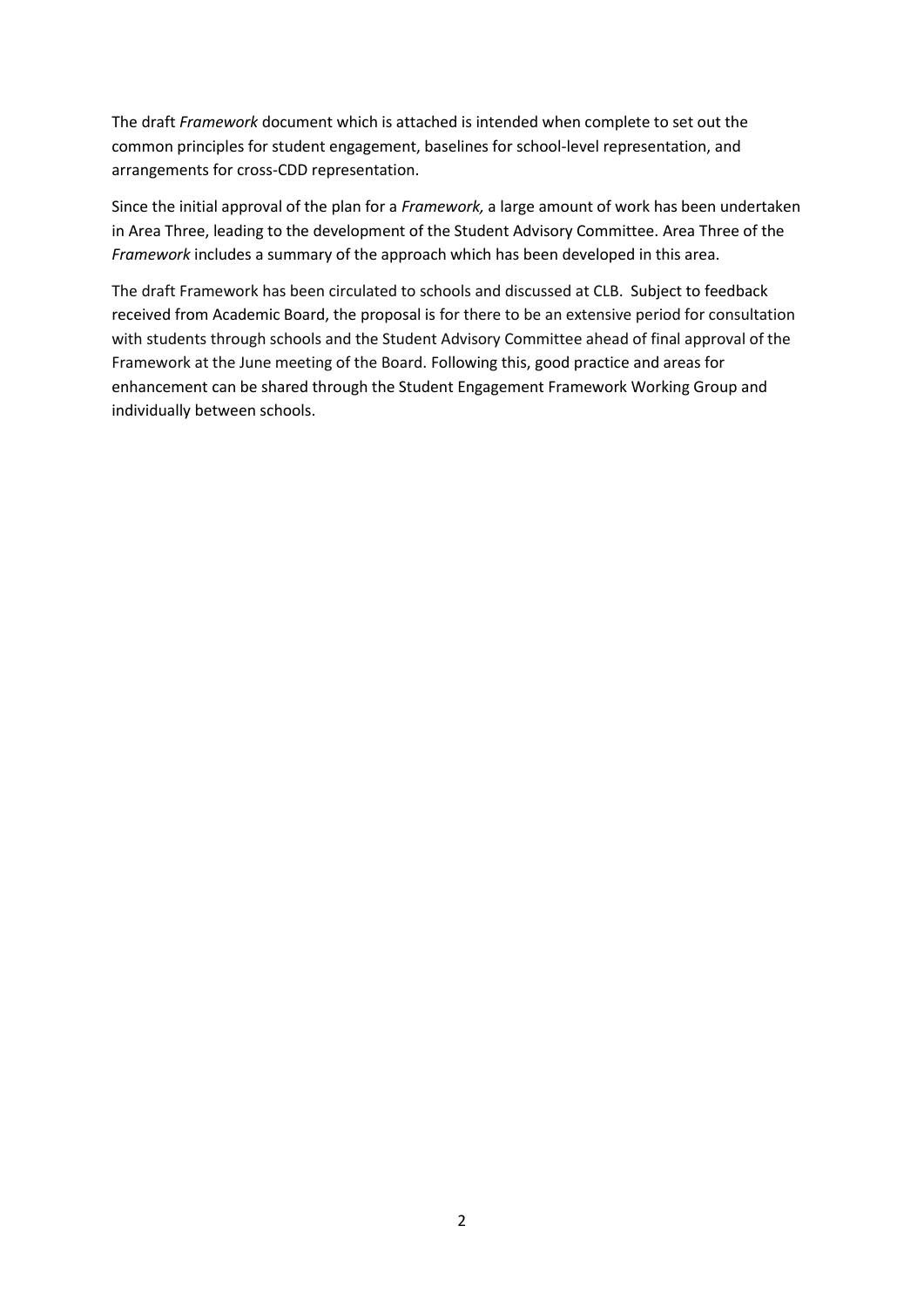The draft *Framework* document which is attached is intended when complete to set out the common principles for student engagement, baselines for school-level representation, and arrangements for cross-CDD representation.

Since the initial approval of the plan for a *Framework,* a large amount of work has been undertaken in Area Three, leading to the development of the Student Advisory Committee. Area Three of the *Framework* includes a summary of the approach which has been developed in this area.

The draft Framework has been circulated to schools and discussed at CLB. Subject to feedback received from Academic Board, the proposal is for there to be an extensive period for consultation with students through schools and the Student Advisory Committee ahead of final approval of the Framework at the June meeting of the Board. Following this, good practice and areas for enhancement can be shared through the Student Engagement Framework Working Group and individually between schools.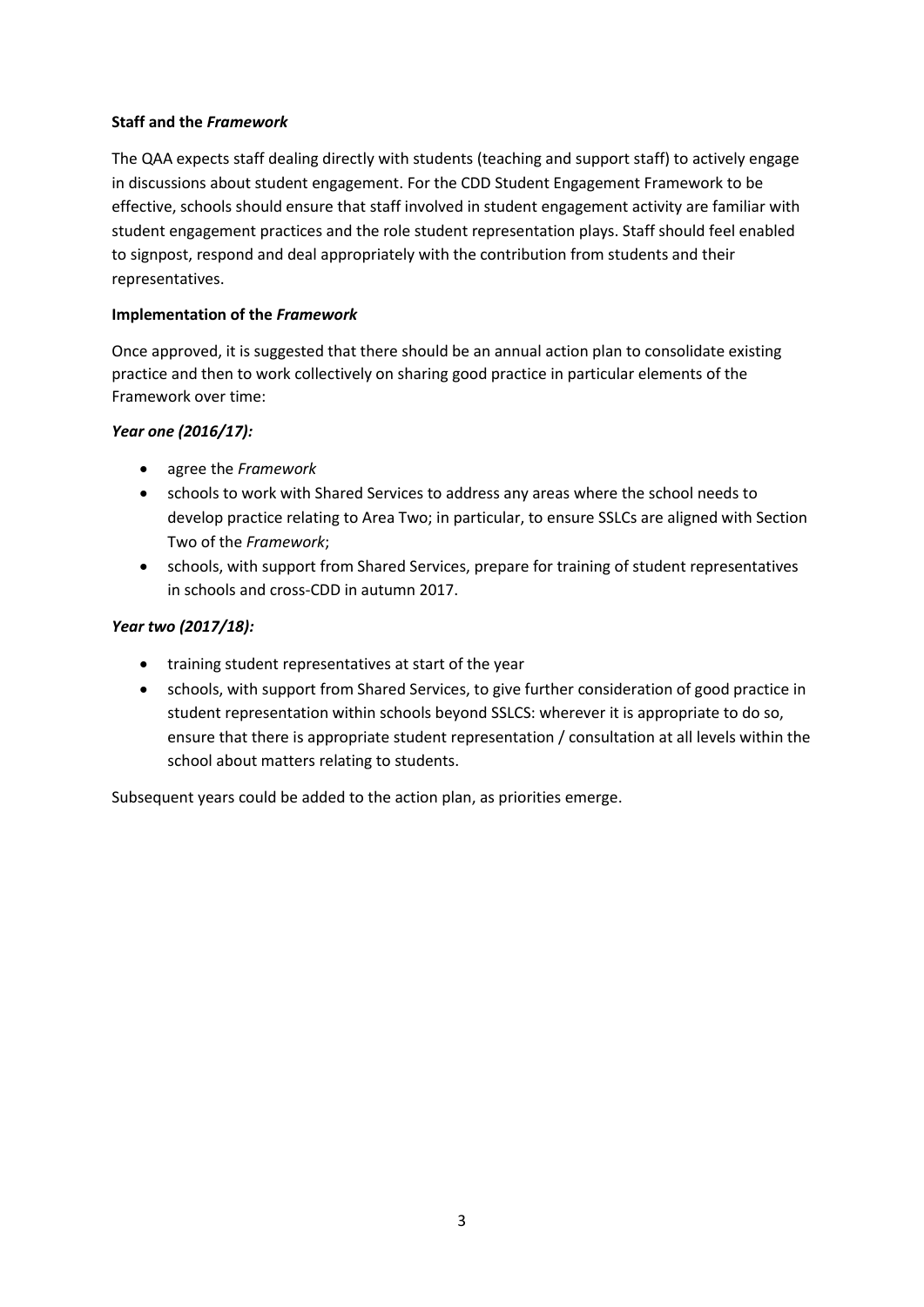#### **Staff and the** *Framework*

The QAA expects staff dealing directly with students (teaching and support staff) to actively engage in discussions about student engagement. For the CDD Student Engagement Framework to be effective, schools should ensure that staff involved in student engagement activity are familiar with student engagement practices and the role student representation plays. Staff should feel enabled to signpost, respond and deal appropriately with the contribution from students and their representatives.

#### **Implementation of the** *Framework*

Once approved, it is suggested that there should be an annual action plan to consolidate existing practice and then to work collectively on sharing good practice in particular elements of the Framework over time:

#### *Year one (2016/17):*

- agree the *Framework*
- schools to work with Shared Services to address any areas where the school needs to develop practice relating to Area Two; in particular, to ensure SSLCs are aligned with Section Two of the *Framework*;
- schools, with support from Shared Services, prepare for training of student representatives in schools and cross-CDD in autumn 2017.

## *Year two (2017/18):*

- training student representatives at start of the year
- schools, with support from Shared Services, to give further consideration of good practice in student representation within schools beyond SSLCS: wherever it is appropriate to do so, ensure that there is appropriate student representation / consultation at all levels within the school about matters relating to students.

Subsequent years could be added to the action plan, as priorities emerge.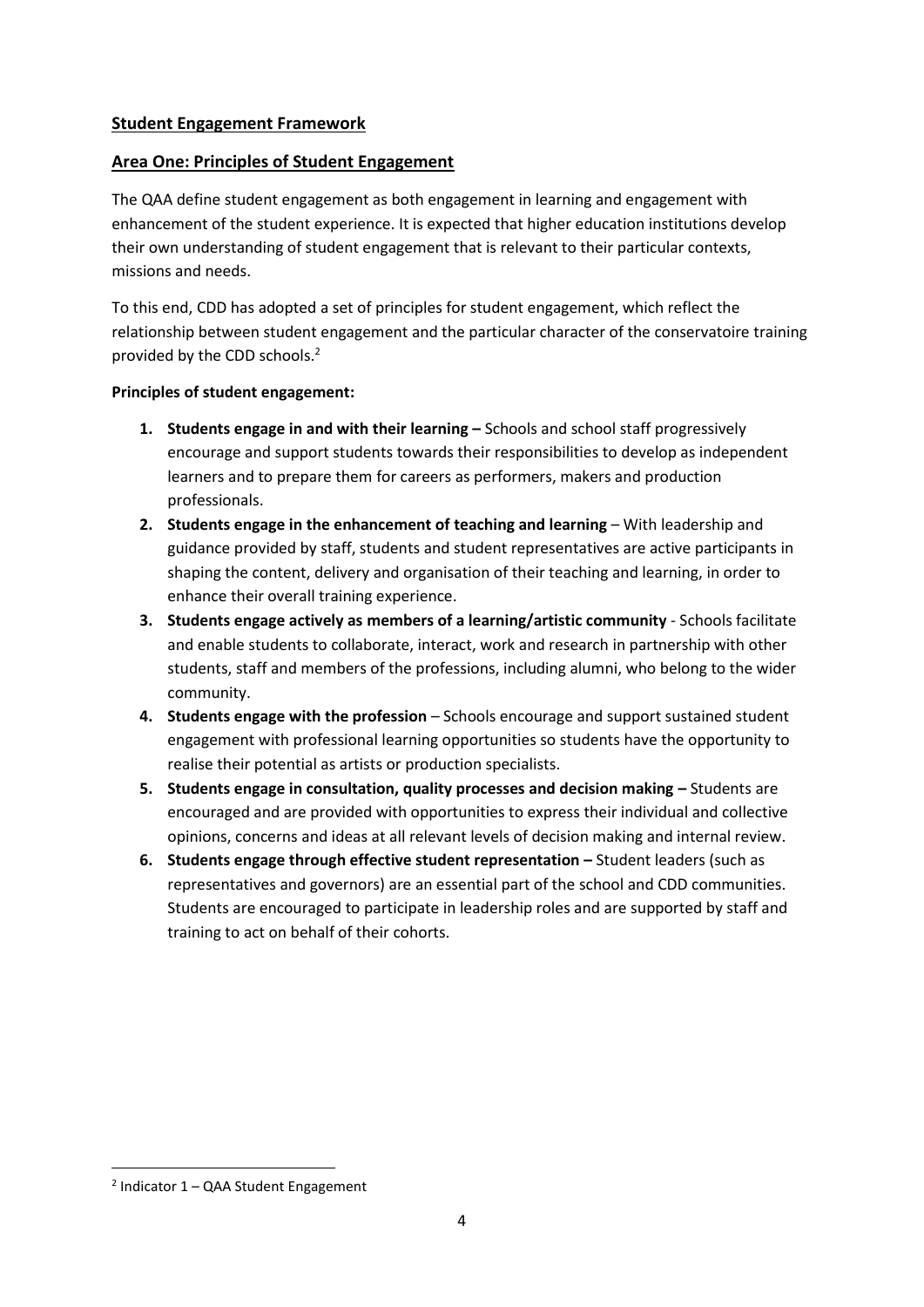# **Student Engagement Framework**

## **Area One: Principles of Student Engagement**

The QAA define student engagement as both engagement in learning and engagement with enhancement of the student experience. It is expected that higher education institutions develop their own understanding of student engagement that is relevant to their particular contexts, missions and needs.

To this end, CDD has adopted a set of principles for student engagement, which reflect the relationship between student engagement and the particular character of the conservatoire training provided by the CDD schools. 2

## **Principles of student engagement:**

- **1. Students engage in and with their learning –** Schools and school staff progressively encourage and support students towards their responsibilities to develop as independent learners and to prepare them for careers as performers, makers and production professionals.
- **2. Students engage in the enhancement of teaching and learning**  With leadership and guidance provided by staff, students and student representatives are active participants in shaping the content, delivery and organisation of their teaching and learning, in order to enhance their overall training experience.
- **3. Students engage actively as members of a learning/artistic community** Schools facilitate and enable students to collaborate, interact, work and research in partnership with other students, staff and members of the professions, including alumni, who belong to the wider community.
- **4. Students engage with the profession** Schools encourage and support sustained student engagement with professional learning opportunities so students have the opportunity to realise their potential as artists or production specialists.
- **5.** Students engage in consultation, quality processes and decision making Students are encouraged and are provided with opportunities to express their individual and collective opinions, concerns and ideas at all relevant levels of decision making and internal review.
- **6. Students engage through effective student representation Student leaders (such as** representatives and governors) are an essential part of the school and CDD communities. Students are encouraged to participate in leadership roles and are supported by staff and training to act on behalf of their cohorts.

<sup>2</sup> Indicator 1 – QAA Student Engagement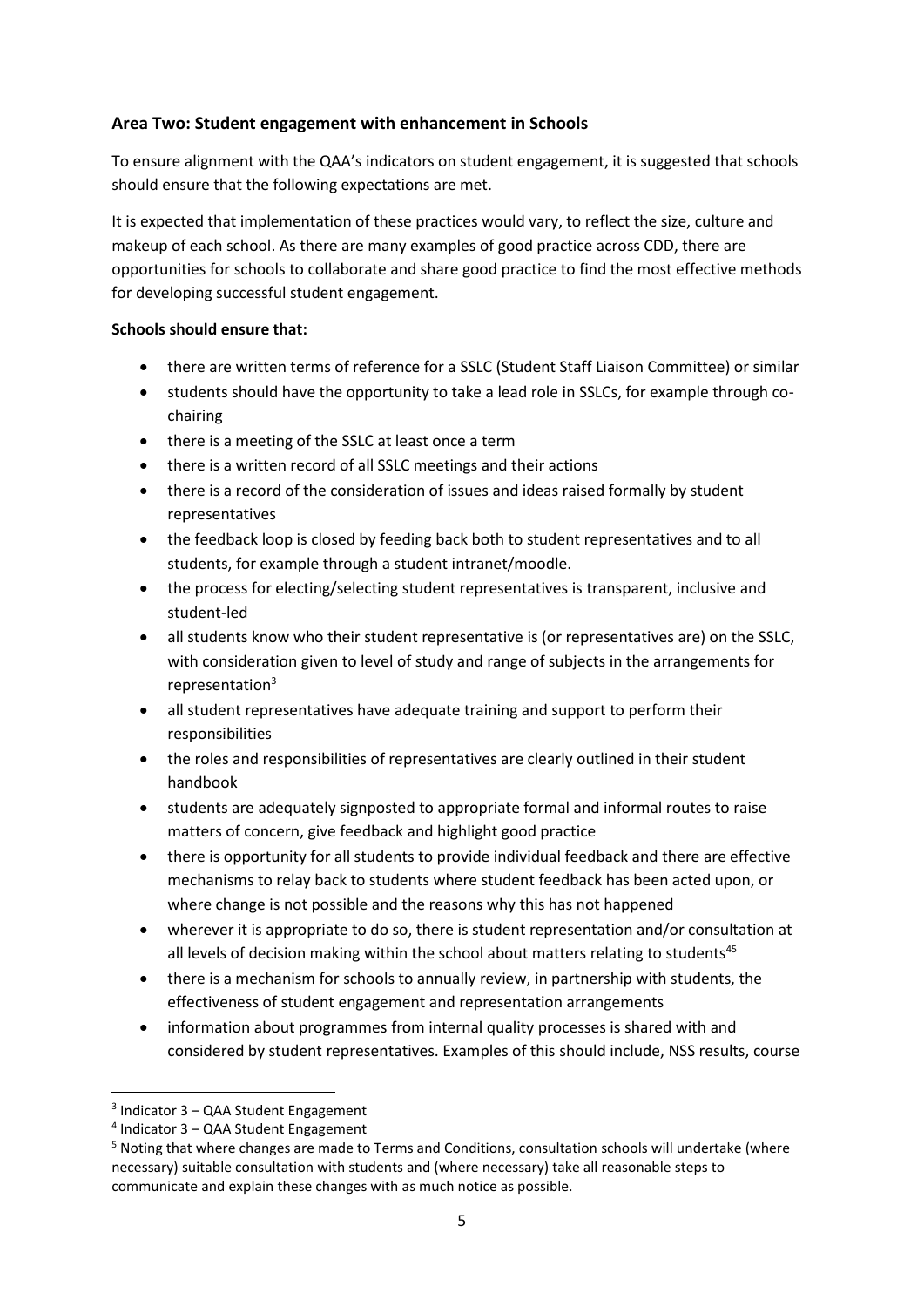# **Area Two: Student engagement with enhancement in Schools**

To ensure alignment with the QAA's indicators on student engagement, it is suggested that schools should ensure that the following expectations are met.

It is expected that implementation of these practices would vary, to reflect the size, culture and makeup of each school. As there are many examples of good practice across CDD, there are opportunities for schools to collaborate and share good practice to find the most effective methods for developing successful student engagement.

## **Schools should ensure that:**

- there are written terms of reference for a SSLC (Student Staff Liaison Committee) or similar
- students should have the opportunity to take a lead role in SSLCs, for example through cochairing
- there is a meeting of the SSLC at least once a term
- there is a written record of all SSLC meetings and their actions
- there is a record of the consideration of issues and ideas raised formally by student representatives
- the feedback loop is closed by feeding back both to student representatives and to all students, for example through a student intranet/moodle.
- the process for electing/selecting student representatives is transparent, inclusive and student-led
- all students know who their student representative is (or representatives are) on the SSLC, with consideration given to level of study and range of subjects in the arrangements for representation<sup>3</sup>
- all student representatives have adequate training and support to perform their responsibilities
- the roles and responsibilities of representatives are clearly outlined in their student handbook
- students are adequately signposted to appropriate formal and informal routes to raise matters of concern, give feedback and highlight good practice
- there is opportunity for all students to provide individual feedback and there are effective mechanisms to relay back to students where student feedback has been acted upon, or where change is not possible and the reasons why this has not happened
- wherever it is appropriate to do so, there is student representation and/or consultation at all levels of decision making within the school about matters relating to students<sup>45</sup>
- there is a mechanism for schools to annually review, in partnership with students, the effectiveness of student engagement and representation arrangements
- information about programmes from internal quality processes is shared with and considered by student representatives. Examples of this should include, NSS results, course

<sup>3</sup> Indicator 3 – QAA Student Engagement

<sup>4</sup> Indicator 3 – QAA Student Engagement

<sup>5</sup> Noting that where changes are made to Terms and Conditions, consultation schools will undertake (where necessary) suitable consultation with students and (where necessary) take all reasonable steps to communicate and explain these changes with as much notice as possible.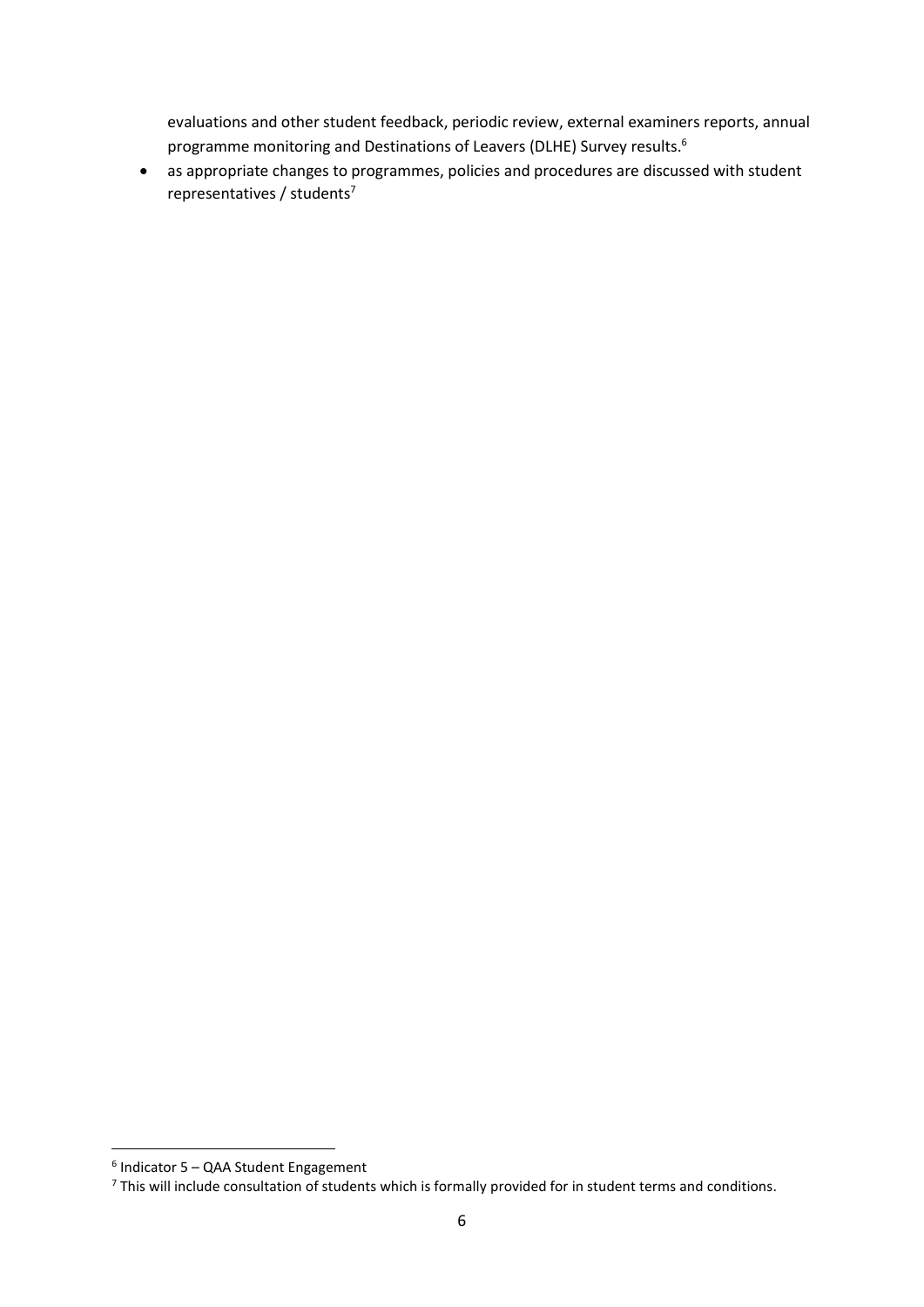evaluations and other student feedback, periodic review, external examiners reports, annual programme monitoring and Destinations of Leavers (DLHE) Survey results.<sup>6</sup>

 as appropriate changes to programmes, policies and procedures are discussed with student representatives / students<sup>7</sup>

 $\overline{a}$ 

<sup>6</sup> Indicator 5 – QAA Student Engagement

<sup>&</sup>lt;sup>7</sup> This will include consultation of students which is formally provided for in student terms and conditions.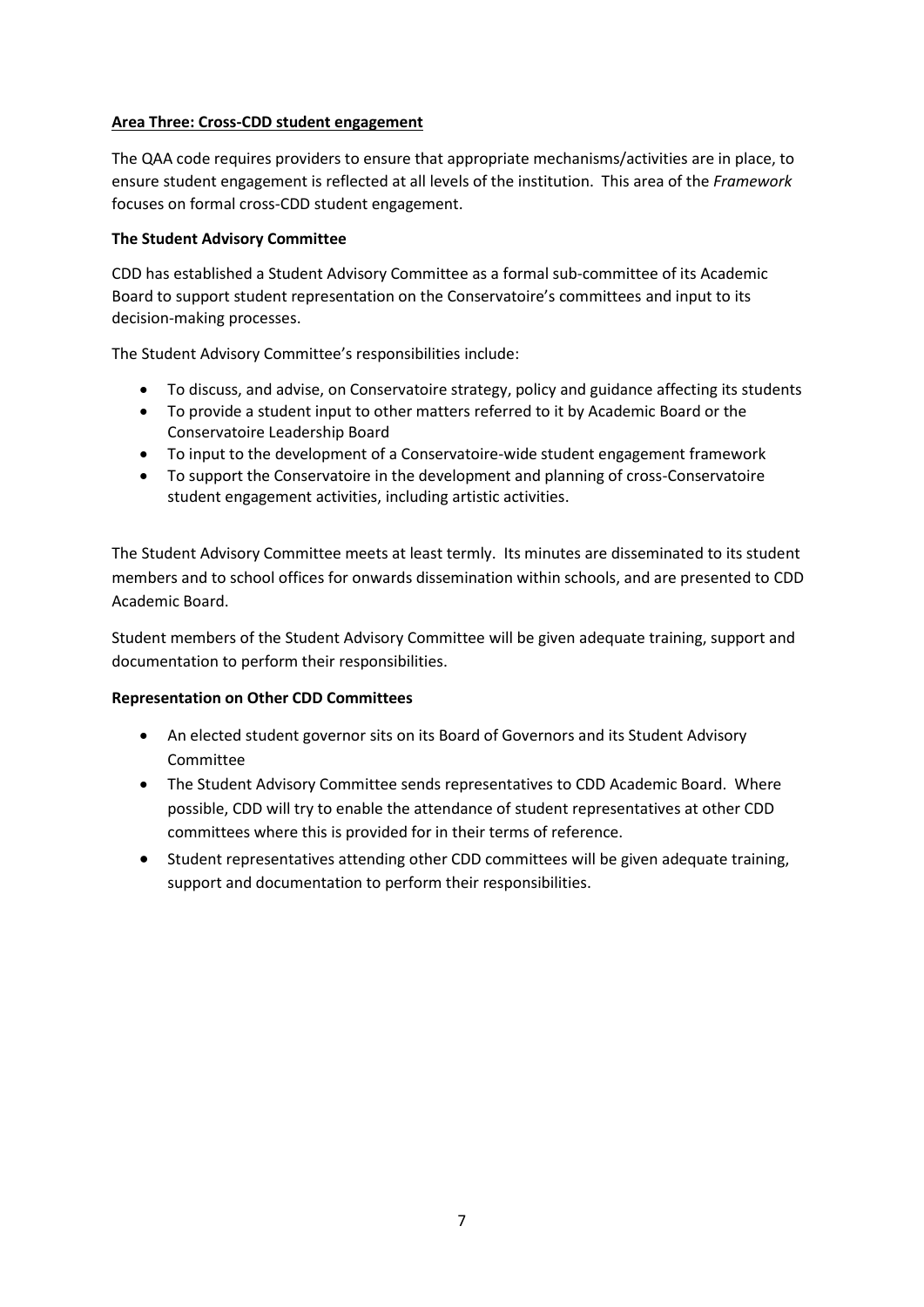#### **Area Three: Cross-CDD student engagement**

The QAA code requires providers to ensure that appropriate mechanisms/activities are in place, to ensure student engagement is reflected at all levels of the institution. This area of the *Framework* focuses on formal cross-CDD student engagement.

#### **The Student Advisory Committee**

CDD has established a Student Advisory Committee as a formal sub-committee of its Academic Board to support student representation on the Conservatoire's committees and input to its decision-making processes.

The Student Advisory Committee's responsibilities include:

- To discuss, and advise, on Conservatoire strategy, policy and guidance affecting its students
- To provide a student input to other matters referred to it by Academic Board or the Conservatoire Leadership Board
- To input to the development of a Conservatoire-wide student engagement framework
- To support the Conservatoire in the development and planning of cross-Conservatoire student engagement activities, including artistic activities.

The Student Advisory Committee meets at least termly. Its minutes are disseminated to its student members and to school offices for onwards dissemination within schools, and are presented to CDD Academic Board.

Student members of the Student Advisory Committee will be given adequate training, support and documentation to perform their responsibilities.

## **Representation on Other CDD Committees**

- An elected student governor sits on its Board of Governors and its Student Advisory Committee
- The Student Advisory Committee sends representatives to CDD Academic Board. Where possible, CDD will try to enable the attendance of student representatives at other CDD committees where this is provided for in their terms of reference.
- Student representatives attending other CDD committees will be given adequate training, support and documentation to perform their responsibilities.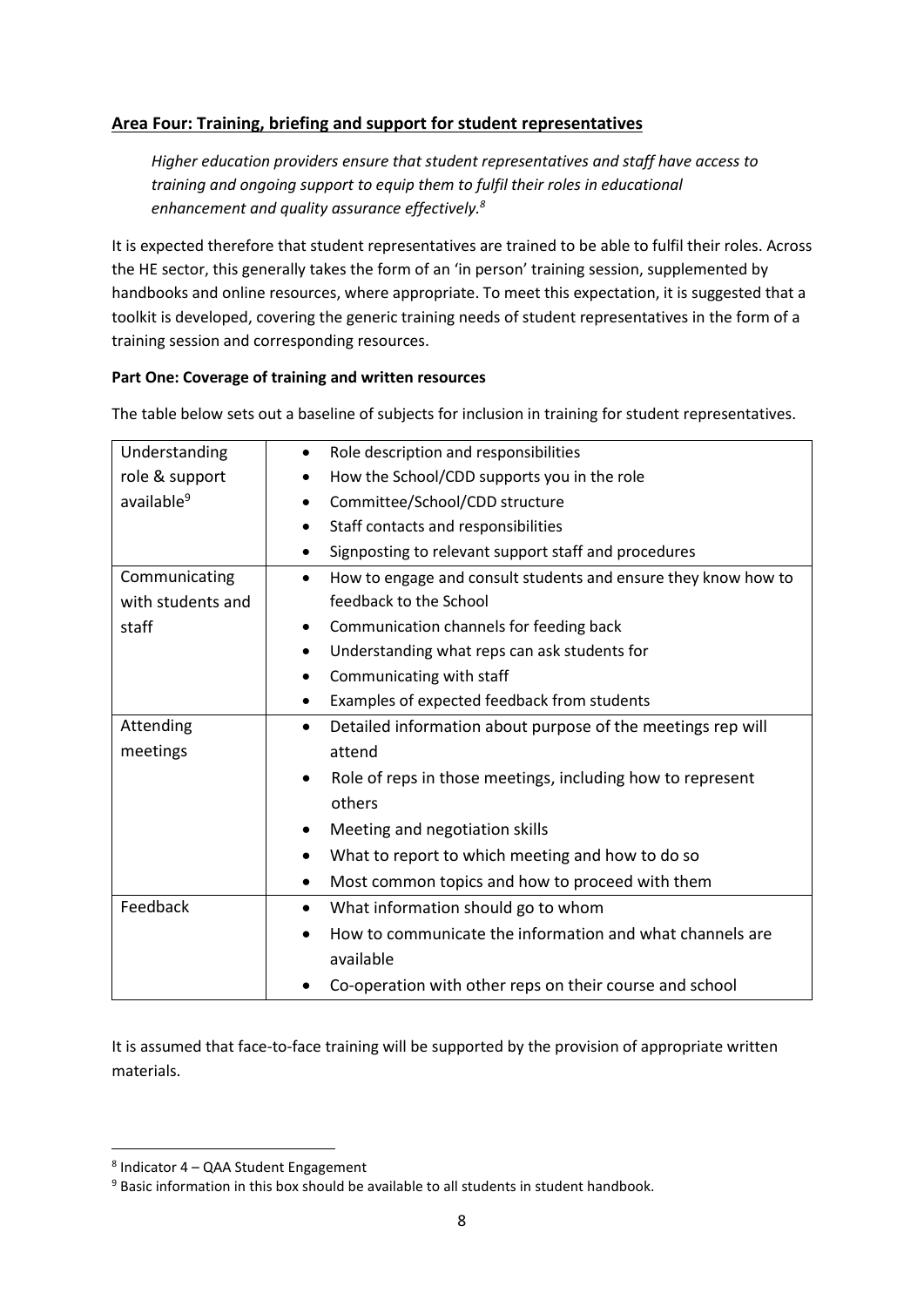# **Area Four: Training, briefing and support for student representatives**

*Higher education providers ensure that student representatives and staff have access to training and ongoing support to equip them to fulfil their roles in educational enhancement and quality assurance effectively.<sup>8</sup>*

It is expected therefore that student representatives are trained to be able to fulfil their roles. Across the HE sector, this generally takes the form of an 'in person' training session, supplemented by handbooks and online resources, where appropriate. To meet this expectation, it is suggested that a toolkit is developed, covering the generic training needs of student representatives in the form of a training session and corresponding resources.

#### **Part One: Coverage of training and written resources**

The table below sets out a baseline of subjects for inclusion in training for student representatives.

| Understanding          | Role description and responsibilities                                       |
|------------------------|-----------------------------------------------------------------------------|
| role & support         | How the School/CDD supports you in the role                                 |
| available <sup>9</sup> | Committee/School/CDD structure                                              |
|                        | Staff contacts and responsibilities<br>$\bullet$                            |
|                        | Signposting to relevant support staff and procedures                        |
| Communicating          | How to engage and consult students and ensure they know how to<br>$\bullet$ |
| with students and      | feedback to the School                                                      |
| staff                  | Communication channels for feeding back                                     |
|                        | Understanding what reps can ask students for                                |
|                        | Communicating with staff<br>$\bullet$                                       |
|                        | Examples of expected feedback from students<br>$\bullet$                    |
| Attending              | Detailed information about purpose of the meetings rep will<br>$\bullet$    |
| meetings               | attend                                                                      |
|                        | Role of reps in those meetings, including how to represent                  |
|                        | others                                                                      |
|                        | Meeting and negotiation skills<br>$\bullet$                                 |
|                        | What to report to which meeting and how to do so                            |
|                        | Most common topics and how to proceed with them                             |
| Feedback               | What information should go to whom<br>$\bullet$                             |
|                        | How to communicate the information and what channels are                    |
|                        | available                                                                   |
|                        | Co-operation with other reps on their course and school                     |

It is assumed that face-to-face training will be supported by the provision of appropriate written materials.

 $\overline{a}$ 

<sup>8</sup> Indicator 4 – QAA Student Engagement

<sup>&</sup>lt;sup>9</sup> Basic information in this box should be available to all students in student handbook.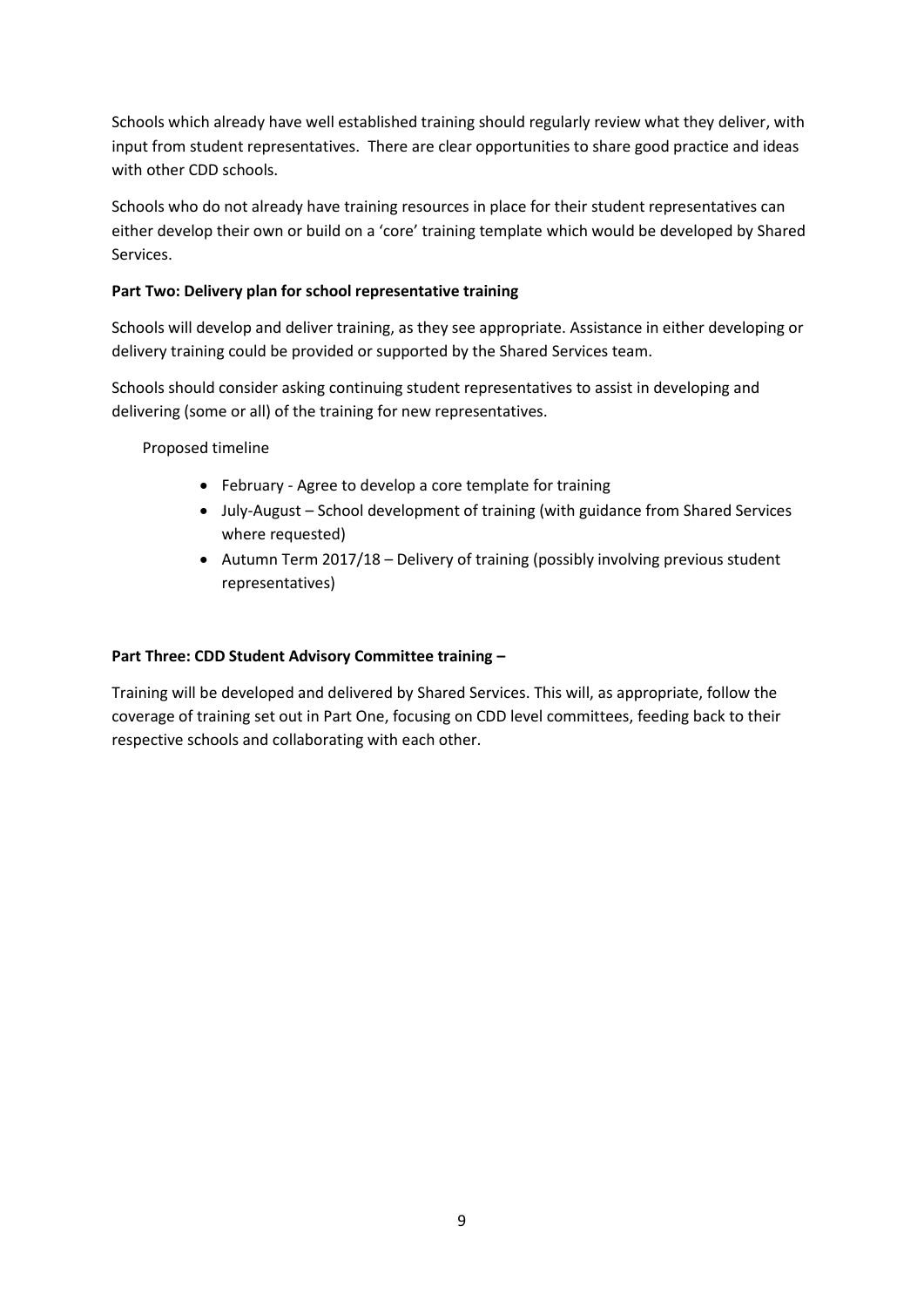Schools which already have well established training should regularly review what they deliver, with input from student representatives. There are clear opportunities to share good practice and ideas with other CDD schools.

Schools who do not already have training resources in place for their student representatives can either develop their own or build on a 'core' training template which would be developed by Shared Services.

## **Part Two: Delivery plan for school representative training**

Schools will develop and deliver training, as they see appropriate. Assistance in either developing or delivery training could be provided or supported by the Shared Services team.

Schools should consider asking continuing student representatives to assist in developing and delivering (some or all) of the training for new representatives.

Proposed timeline

- February Agree to develop a core template for training
- July-August School development of training (with guidance from Shared Services where requested)
- $\bullet$  Autumn Term 2017/18 Delivery of training (possibly involving previous student representatives)

## **Part Three: CDD Student Advisory Committee training –**

Training will be developed and delivered by Shared Services. This will, as appropriate, follow the coverage of training set out in Part One, focusing on CDD level committees, feeding back to their respective schools and collaborating with each other.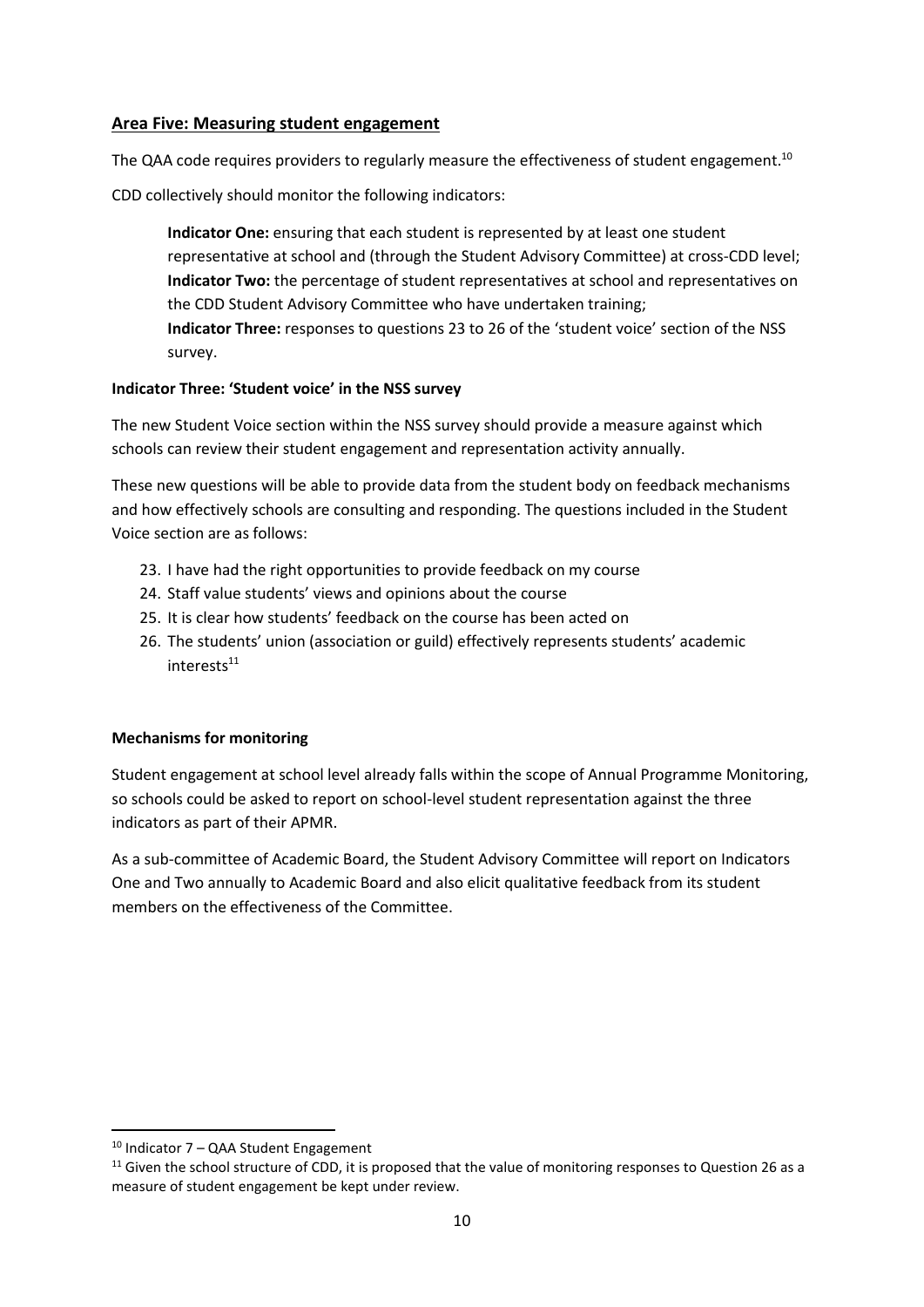#### **Area Five: Measuring student engagement**

The QAA code requires providers to regularly measure the effectiveness of student engagement.<sup>10</sup>

CDD collectively should monitor the following indicators:

**Indicator One:** ensuring that each student is represented by at least one student representative at school and (through the Student Advisory Committee) at cross-CDD level; **Indicator Two:** the percentage of student representatives at school and representatives on the CDD Student Advisory Committee who have undertaken training;

**Indicator Three:** responses to questions 23 to 26 of the 'student voice' section of the NSS survey.

#### **Indicator Three: 'Student voice' in the NSS survey**

The new Student Voice section within the NSS survey should provide a measure against which schools can review their student engagement and representation activity annually.

These new questions will be able to provide data from the student body on feedback mechanisms and how effectively schools are consulting and responding. The questions included in the Student Voice section are as follows:

- 23. I have had the right opportunities to provide feedback on my course
- 24. Staff value students' views and opinions about the course
- 25. It is clear how students' feedback on the course has been acted on
- 26. The students' union (association or guild) effectively represents students' academic interests<sup>11</sup>

## **Mechanisms for monitoring**

Student engagement at school level already falls within the scope of Annual Programme Monitoring, so schools could be asked to report on school-level student representation against the three indicators as part of their APMR.

As a sub-committee of Academic Board, the Student Advisory Committee will report on Indicators One and Two annually to Academic Board and also elicit qualitative feedback from its student members on the effectiveness of the Committee.

<sup>10</sup> Indicator 7 – QAA Student Engagement

 $11$  Given the school structure of CDD, it is proposed that the value of monitoring responses to Question 26 as a measure of student engagement be kept under review.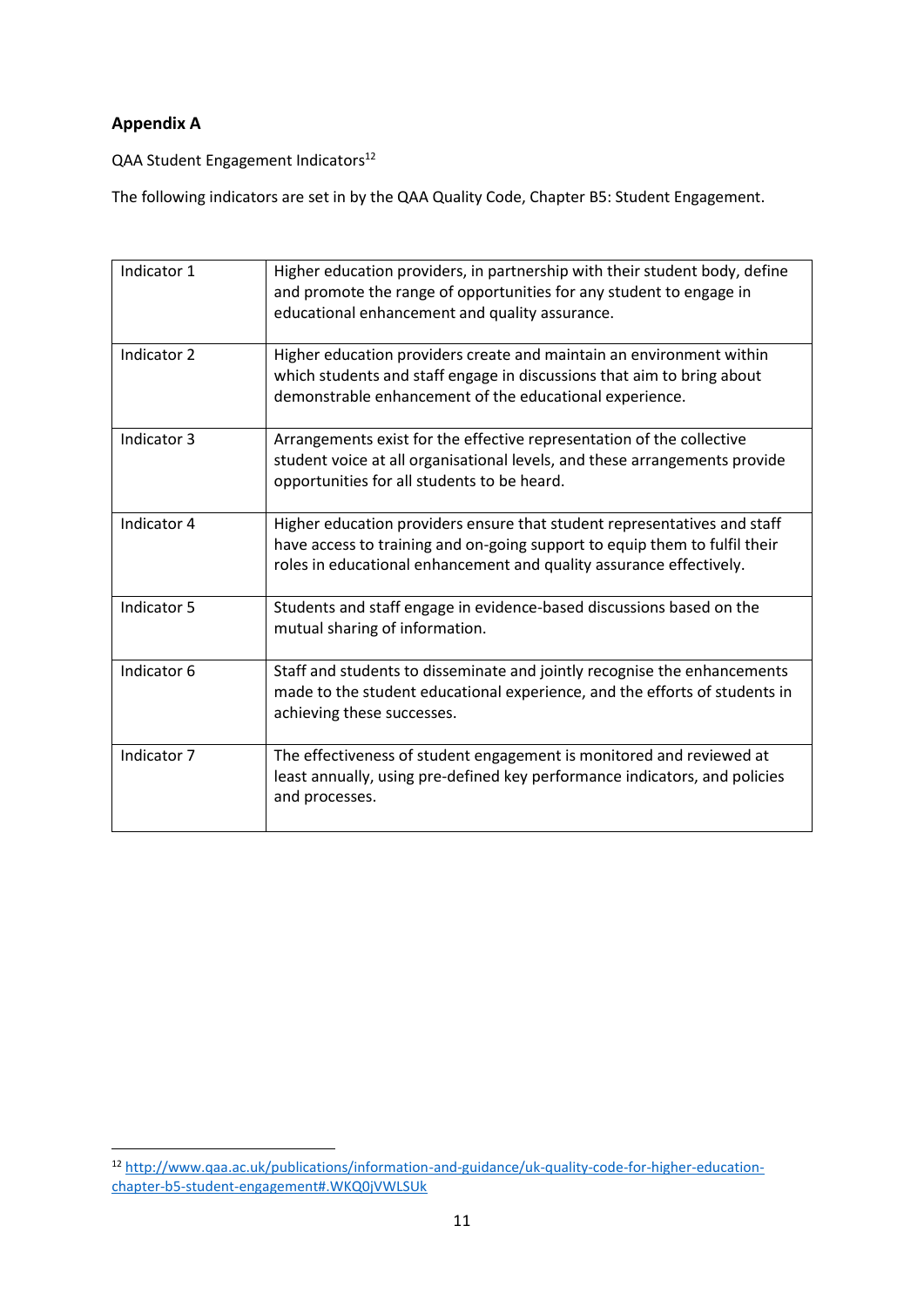# **Appendix A**

QAA Student Engagement Indicators<sup>12</sup>

The following indicators are set in by the QAA Quality Code, Chapter B5: Student Engagement.

| Indicator 1 | Higher education providers, in partnership with their student body, define<br>and promote the range of opportunities for any student to engage in<br>educational enhancement and quality assurance.                           |
|-------------|-------------------------------------------------------------------------------------------------------------------------------------------------------------------------------------------------------------------------------|
| Indicator 2 | Higher education providers create and maintain an environment within<br>which students and staff engage in discussions that aim to bring about<br>demonstrable enhancement of the educational experience.                     |
| Indicator 3 | Arrangements exist for the effective representation of the collective<br>student voice at all organisational levels, and these arrangements provide<br>opportunities for all students to be heard.                            |
| Indicator 4 | Higher education providers ensure that student representatives and staff<br>have access to training and on-going support to equip them to fulfil their<br>roles in educational enhancement and quality assurance effectively. |
| Indicator 5 | Students and staff engage in evidence-based discussions based on the<br>mutual sharing of information.                                                                                                                        |
| Indicator 6 | Staff and students to disseminate and jointly recognise the enhancements<br>made to the student educational experience, and the efforts of students in<br>achieving these successes.                                          |
| Indicator 7 | The effectiveness of student engagement is monitored and reviewed at<br>least annually, using pre-defined key performance indicators, and policies<br>and processes.                                                          |

 $\overline{a}$ <sup>12</sup> [http://www.qaa.ac.uk/publications/information-and-guidance/uk-quality-code-for-higher-education](http://www.qaa.ac.uk/publications/information-and-guidance/uk-quality-code-for-higher-education-chapter-b5-student-engagement#.WKQ0jVWLSUk)[chapter-b5-student-engagement#.WKQ0jVWLSUk](http://www.qaa.ac.uk/publications/information-and-guidance/uk-quality-code-for-higher-education-chapter-b5-student-engagement#.WKQ0jVWLSUk)